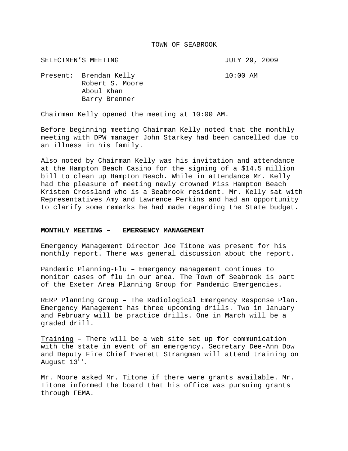## TOWN OF SEABROOK

SELECTMEN'S MEETING **SELECTMEN'S** SELECTMEN'S MEETING Present: Brendan Kelly 10:00 AM Robert S. Moore Aboul Khan Barry Brenner

Chairman Kelly opened the meeting at 10:00 AM.

Before beginning meeting Chairman Kelly noted that the monthly meeting with DPW manager John Starkey had been cancelled due to an illness in his family.

Also noted by Chairman Kelly was his invitation and attendance at the Hampton Beach Casino for the signing of a \$14.5 million bill to clean up Hampton Beach. While in attendance Mr. Kelly had the pleasure of meeting newly crowned Miss Hampton Beach Kristen Crossland who is a Seabrook resident. Mr. Kelly sat with Representatives Amy and Lawrence Perkins and had an opportunity to clarify some remarks he had made regarding the State budget.

# **MONTHLY MEETING – EMERGENCY MANAGEMENT**

Emergency Management Director Joe Titone was present for his monthly report. There was general discussion about the report.

Pandemic Planning-Flu – Emergency management continues to monitor cases of flu in our area. The Town of Seabrook is part of the Exeter Area Planning Group for Pandemic Emergencies.

RERP Planning Group – The Radiological Emergency Response Plan. Emergency Management has three upcoming drills. Two in January and February will be practice drills. One in March will be a graded drill.

Training – There will be a web site set up for communication with the state in event of an emergency. Secretary Dee-Ann Dow and Deputy Fire Chief Everett Strangman will attend training on August  $13^{th}$ .

Mr. Moore asked Mr. Titone if there were grants available. Mr. Titone informed the board that his office was pursuing grants through FEMA.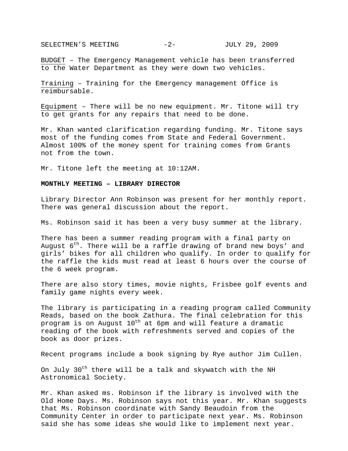SELECTMEN'S MEETING  $-2-$  JULY 29, 2009

BUDGET – The Emergency Management vehicle has been transferred to the Water Department as they were down two vehicles.

Training – Training for the Emergency management Office is reimbursable.

Equipment – There will be no new equipment. Mr. Titone will try to get grants for any repairs that need to be done.

Mr. Khan wanted clarification regarding funding. Mr. Titone says most of the funding comes from State and Federal Government. Almost 100% of the money spent for training comes from Grants not from the town.

Mr. Titone left the meeting at 10:12AM.

## **MONTHLY MEETING – LIBRARY DIRECTOR**

Library Director Ann Robinson was present for her monthly report. There was general discussion about the report.

Ms. Robinson said it has been a very busy summer at the library.

There has been a summer reading program with a final party on August  $6^{th}$ . There will be a raffle drawing of brand new boys' and girls' bikes for all children who qualify. In order to qualify for the raffle the kids must read at least 6 hours over the course of the 6 week program.

There are also story times, movie nights, Frisbee golf events and family game nights every week.

The library is participating in a reading program called Community Reads, based on the book Zathura. The final celebration for this program is on August  $10^{th}$  at 6pm and will feature a dramatic reading of the book with refreshments served and copies of the book as door prizes.

Recent programs include a book signing by Rye author Jim Cullen.

On July 30<sup>th</sup> there will be a talk and skywatch with the NH Astronomical Society.

Mr. Khan asked ms. Robinson if the library is involved with the Old Home Days. Ms. Robinson says not this year. Mr. Khan suggests that Ms. Robinson coordinate with Sandy Beaudoin from the Community Center in order to participate next year. Ms. Robinson said she has some ideas she would like to implement next year.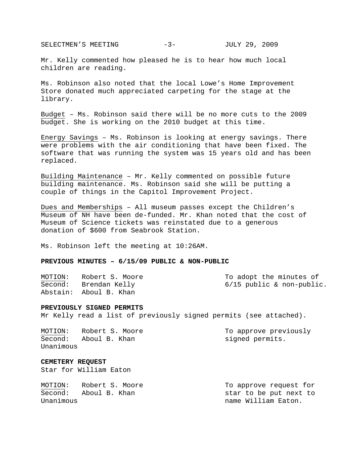SELECTMEN'S MEETING -3- JULY 29, 2009

Mr. Kelly commented how pleased he is to hear how much local children are reading.

Ms. Robinson also noted that the local Lowe's Home Improvement Store donated much appreciated carpeting for the stage at the library.

Budget – Ms. Robinson said there will be no more cuts to the 2009 budget. She is working on the 2010 budget at this time.

Energy Savings – Ms. Robinson is looking at energy savings. There were problems with the air conditioning that have been fixed. The software that was running the system was 15 years old and has been replaced.

Building Maintenance – Mr. Kelly commented on possible future building maintenance. Ms. Robinson said she will be putting a couple of things in the Capitol Improvement Project.

Dues and Memberships – All museum passes except the Children's Museum of NH have been de-funded. Mr. Khan noted that the cost of Museum of Science tickets was reinstated due to a generous donation of \$600 from Seabrook Station.

Ms. Robinson left the meeting at 10:26AM.

# **PREVIOUS MINUTES – 6/15/09 PUBLIC & NON-PUBLIC**

| MOTION: | Robert S. Moore        | To adopt the minutes of     |
|---------|------------------------|-----------------------------|
|         | Second: Brendan Kelly  | $6/15$ public & non-public. |
|         | Abstain: Aboul B. Khan |                             |

#### **PREVIOUSLY SIGNED PERMITS**

Mr Kelly read a list of previously signed permits (see attached).

MOTION: Robert S. Moore To approve previously Second: Aboul B. Khan signed permits. Unanimous

## **CEMETERY REQUEST**

Star for William Eaton

| MOTION:   | Robert S. Moore | To approve request for |
|-----------|-----------------|------------------------|
| Second:   | Aboul B. Khan   | star to be put next to |
| Unanimous |                 | name William Eaton.    |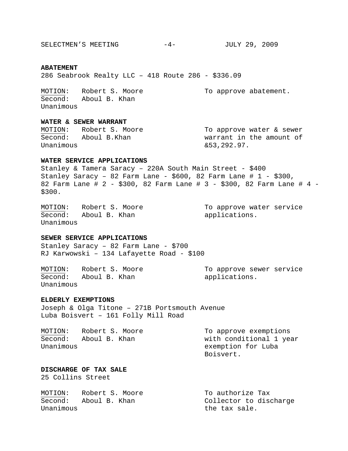SELECTMEN'S MEETING -4- JULY 29, 2009

# **ABATEMENT**

286 Seabrook Realty LLC – 418 Route 286 - \$336.09

MOTION: Robert S. Moore To approve abatement. Second: Aboul B. Khan Unanimous

# **WATER & SEWER WARRANT**

MOTION: Robert S. Moore To approve water & sewer Second: Aboul B.Khan warrant in the amount of Unanimous  $\&53,292.97.$ 

# **WATER SERVICE APPLICATIONS**

Stanley & Tamera Saracy – 220A South Main Street - \$400 Stanley Saracy - 82 Farm Lane -  $$600, 82$  Farm Lane # 1 -  $$300,$ 82 Farm Lane # 2 - \$300, 82 Farm Lane # 3 - \$300, 82 Farm Lane # 4 - \$300.

Second: Aboul B. Khan applications. Unanimous

MOTION: Robert S. Moore To approve water service

# **SEWER SERVICE APPLICATIONS**

Stanley Saracy – 82 Farm Lane - \$700 RJ Karwowski – 134 Lafayette Road - \$100

MOTION: Robert S. Moore To approve sewer service Second: Aboul B. Khan applications. Unanimous

# **ELDERLY EXEMPTIONS**

Joseph & Olga Titone – 271B Portsmouth Avenue Luba Boisvert – 161 Folly Mill Road

| MOTION:   | Robert S. Moore | To approve exemptions   |
|-----------|-----------------|-------------------------|
| Second:   | Aboul B. Khan   | with conditional 1 year |
| Unanimous |                 | exemption for Luba      |
|           |                 | Boisvert.               |

**DISCHARGE OF TAX SALE**  25 Collins Street

| MOTION:   | Robert S. Moore | To authorize Tax       |
|-----------|-----------------|------------------------|
| Second:   | Aboul B. Khan   | Collector to discharge |
| Unanimous |                 | the tax sale.          |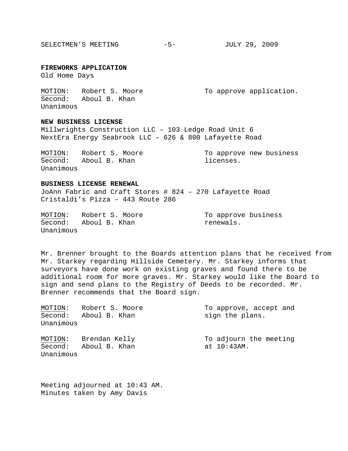SELECTMEN'S MEETING -5- JULY 29, 2009

**FIREWORKS APPLICATION** 

Old Home Days

MOTION: Robert S. Moore To approve application. Second: Aboul B. Khan Unanimous

**NEW BUSINESS LICENSE** 

Millwrights Construction LLC – 103 Ledge Road Unit 6 NextEra Energy Seabrook LLC – 626 & 800 Lafayette Road

MOTION: Robert S. Moore To approve new business Second: Aboul B. Khan and licenses. Unanimous

#### **BUSINESS LICENSE RENEWAL**

JoAnn Fabric and Craft Stores # 824 – 270 Lafayette Road Cristaldi's Pizza – 443 Route 286

MOTION: Robert S. Moore To approve business Second: Aboul B. Khan memeric renewals. Unanimous

Mr. Brenner brought to the Boards attention plans that he received from Mr. Starkey regarding Hillside Cemetery. Mr. Starkey informs that surveyors have done work on existing graves and found there to be additional room for more graves. Mr. Starkey would like the Board to sign and send plans to the Registry of Deeds to be recorded. Mr. Brenner recommends that the Board sign.

| MOTION:              | Robert S. Moore | To approve, accept and |
|----------------------|-----------------|------------------------|
| Second:<br>Unanimous | Aboul B. Khan   | sign the plans.        |
| MOTION:              | Brendan Kelly   | To adjourn the meeting |
| Second:<br>Unanimous | Aboul B. Khan   | at 10:43AM.            |

Meeting adjourned at 10:43 AM. Minutes taken by Amy Davis